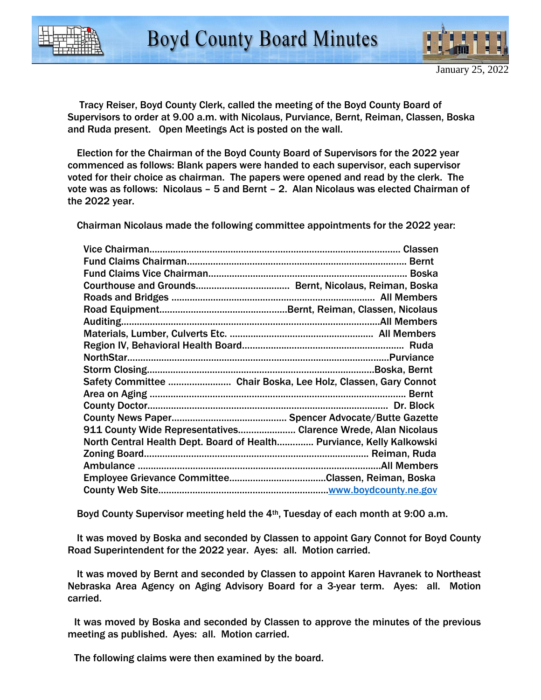

 Tracy Reiser, Boyd County Clerk, called the meeting of the Boyd County Board of Supervisors to order at 9.00 a.m. with Nicolaus, Purviance, Bernt, Reiman, Classen, Boska and Ruda present. Open Meetings Act is posted on the wall.

 Election for the Chairman of the Boyd County Board of Supervisors for the 2022 year commenced as follows: Blank papers were handed to each supervisor, each supervisor voted for their choice as chairman. The papers were opened and read by the clerk. The vote was as follows: Nicolaus – 5 and Bernt – 2. Alan Nicolaus was elected Chairman of the 2022 year.

Chairman Nicolaus made the following committee appointments for the 2022 year:

| Safety Committee  Chair Boska, Lee Holz, Classen, Gary Connot         |  |
|-----------------------------------------------------------------------|--|
|                                                                       |  |
|                                                                       |  |
|                                                                       |  |
| 911 County Wide Representatives Clarence Wrede, Alan Nicolaus         |  |
| North Central Health Dept. Board of Health Purviance, Kelly Kalkowski |  |
|                                                                       |  |
|                                                                       |  |
|                                                                       |  |
|                                                                       |  |

Boyd County Supervisor meeting held the 4th, Tuesday of each month at 9:00 a.m.

 It was moved by Boska and seconded by Classen to appoint Gary Connot for Boyd County Road Superintendent for the 2022 year. Ayes: all. Motion carried.

 It was moved by Bernt and seconded by Classen to appoint Karen Havranek to Northeast Nebraska Area Agency on Aging Advisory Board for a 3-year term. Ayes: all. Motion carried.

 It was moved by Boska and seconded by Classen to approve the minutes of the previous meeting as published. Ayes: all. Motion carried.

The following claims were then examined by the board.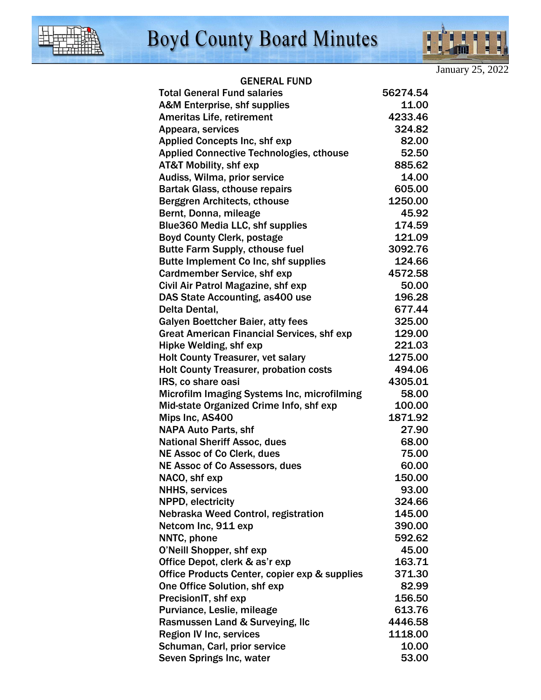

January 25, 2022

I

9

l

i

## GENERAL FUND

| <b>Total General Fund salaries</b>                | 56274.54 |
|---------------------------------------------------|----------|
| A&M Enterprise, shf supplies                      | 11.00    |
| <b>Ameritas Life, retirement</b>                  | 4233.46  |
| Appeara, services                                 | 324.82   |
| <b>Applied Concepts Inc, shf exp</b>              | 82.00    |
| <b>Applied Connective Technologies, cthouse</b>   | 52.50    |
| <b>AT&amp;T Mobility, shf exp</b>                 | 885.62   |
| Audiss, Wilma, prior service                      | 14.00    |
| <b>Bartak Glass, cthouse repairs</b>              | 605.00   |
| Berggren Architects, cthouse                      | 1250.00  |
| Bernt, Donna, mileage                             | 45.92    |
| <b>Blue360 Media LLC, shf supplies</b>            | 174.59   |
| <b>Boyd County Clerk, postage</b>                 | 121.09   |
| <b>Butte Farm Supply, cthouse fuel</b>            | 3092.76  |
| Butte Implement Co Inc, shf supplies              | 124.66   |
| <b>Cardmember Service, shf exp</b>                | 4572.58  |
| Civil Air Patrol Magazine, shf exp                | 50.00    |
| DAS State Accounting, as 400 use                  | 196.28   |
| Delta Dental,                                     | 677.44   |
| <b>Galyen Boettcher Baier, atty fees</b>          | 325.00   |
| <b>Great American Financial Services, shf exp</b> | 129.00   |
| Hipke Welding, shf exp                            | 221.03   |
| <b>Holt County Treasurer, vet salary</b>          | 1275.00  |
| <b>Holt County Treasurer, probation costs</b>     | 494.06   |
| IRS, co share oasi                                | 4305.01  |
| Microfilm Imaging Systems Inc, microfilming       | 58.00    |
| Mid-state Organized Crime Info, shf exp           | 100.00   |
| Mips Inc, AS400                                   | 1871.92  |
| <b>NAPA Auto Parts, shf</b>                       | 27.90    |
| <b>National Sheriff Assoc, dues</b>               | 68.00    |
| <b>NE Assoc of Co Clerk, dues</b>                 | 75.00    |
| <b>NE Assoc of Co Assessors, dues</b>             | 60.00    |
| NACO, shf exp                                     | 150.00   |
| <b>NHHS, services</b>                             | 93.00    |
| NPPD, electricity                                 | 324.66   |
| Nebraska Weed Control, registration               | 145.00   |
| Netcom Inc, 911 exp                               | 390.00   |
| NNTC, phone                                       | 592.62   |
| O'Neill Shopper, shf exp                          | 45.00    |
| Office Depot, clerk & as'r exp                    | 163.71   |
| Office Products Center, copier exp & supplies     | 371.30   |
| One Office Solution, shf exp                      | 82.99    |
| PrecisionIT, shf exp                              | 156.50   |
| Purviance, Leslie, mileage                        | 613.76   |
| Rasmussen Land & Surveying, Ilc                   | 4446.58  |
| <b>Region IV Inc, services</b>                    | 1118.00  |
| Schuman, Carl, prior service                      | 10.00    |
| Seven Springs Inc, water                          | 53.00    |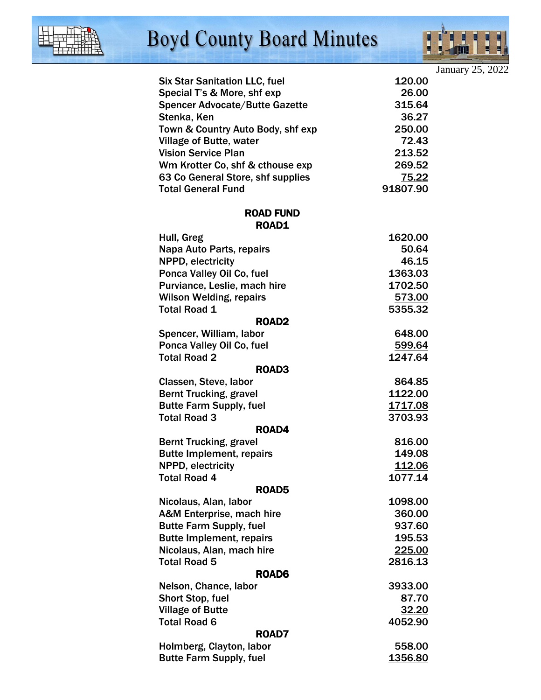

## **Boyd County Board Minutes**



|                                                  |                   |                         | January 25, 2022 |
|--------------------------------------------------|-------------------|-------------------------|------------------|
| <b>Six Star Sanitation LLC, fuel</b>             |                   | 120.00                  |                  |
| Special T's & More, shf exp                      |                   | 26.00                   |                  |
| <b>Spencer Advocate/Butte Gazette</b>            |                   | 315.64                  |                  |
| Stenka, Ken                                      |                   | 36.27                   |                  |
| Town & Country Auto Body, shf exp                |                   | 250.00                  |                  |
| <b>Village of Butte, water</b>                   |                   | 72.43                   |                  |
| <b>Vision Service Plan</b>                       |                   | 213.52                  |                  |
| Wm Krotter Co, shf & cthouse exp                 |                   | 269.52                  |                  |
| 63 Co General Store, shf supplies                |                   | 75.22                   |                  |
| <b>Total General Fund</b>                        |                   | 91807.90                |                  |
|                                                  | <b>ROAD FUND</b>  |                         |                  |
|                                                  | <b>ROAD1</b>      |                         |                  |
| Hull, Greg                                       |                   | 1620.00                 |                  |
| Napa Auto Parts, repairs                         |                   | 50.64                   |                  |
| NPPD, electricity                                |                   | 46.15                   |                  |
| Ponca Valley Oil Co, fuel                        |                   | 1363.03                 |                  |
| Purviance, Leslie, mach hire                     |                   | 1702.50                 |                  |
| <b>Wilson Welding, repairs</b>                   |                   | <u>573.00</u>           |                  |
| <b>Total Road 1</b>                              |                   | 5355.32                 |                  |
|                                                  | <b>ROAD2</b>      |                         |                  |
| Spencer, William, labor                          |                   | 648.00                  |                  |
| Ponca Valley Oil Co, fuel                        |                   | 599.64                  |                  |
| <b>Total Road 2</b>                              |                   | 1247.64                 |                  |
|                                                  | ROAD <sub>3</sub> |                         |                  |
| Classen, Steve, labor                            |                   | 864.85                  |                  |
| <b>Bernt Trucking, gravel</b>                    |                   | 1122.00                 |                  |
| <b>Butte Farm Supply, fuel</b>                   |                   | 1717.08                 |                  |
| <b>Total Road 3</b>                              |                   | 3703.93                 |                  |
|                                                  | ROAD4             |                         |                  |
| <b>Bernt Trucking, gravel</b>                    |                   | 816.00                  |                  |
| <b>Butte Implement, repairs</b>                  |                   | 149.08                  |                  |
| NPPD, electricity                                |                   | <u> 112.06</u>          |                  |
| <b>Total Road 4</b>                              |                   | 1077.14                 |                  |
|                                                  | ROAD5             |                         |                  |
| Nicolaus, Alan, labor                            |                   | 1098.00                 |                  |
| A&M Enterprise, mach hire                        |                   | 360.00                  |                  |
| <b>Butte Farm Supply, fuel</b>                   |                   | 937.60                  |                  |
| <b>Butte Implement, repairs</b>                  |                   | 195.53                  |                  |
| Nicolaus, Alan, mach hire<br><b>Total Road 5</b> |                   | 225.00<br>2816.13       |                  |
|                                                  | ROAD6             |                         |                  |
| Nelson, Chance, labor                            |                   | 3933.00                 |                  |
| <b>Short Stop, fuel</b>                          |                   | 87.70                   |                  |
| <b>Village of Butte</b>                          |                   |                         |                  |
| <b>Total Road 6</b>                              |                   | <u>32.20</u><br>4052.90 |                  |
|                                                  | ROAD7             |                         |                  |
| Holmberg, Clayton, labor                         |                   | 558.00                  |                  |
| <b>Butte Farm Supply, fuel</b>                   |                   | 1356.80                 |                  |
|                                                  |                   |                         |                  |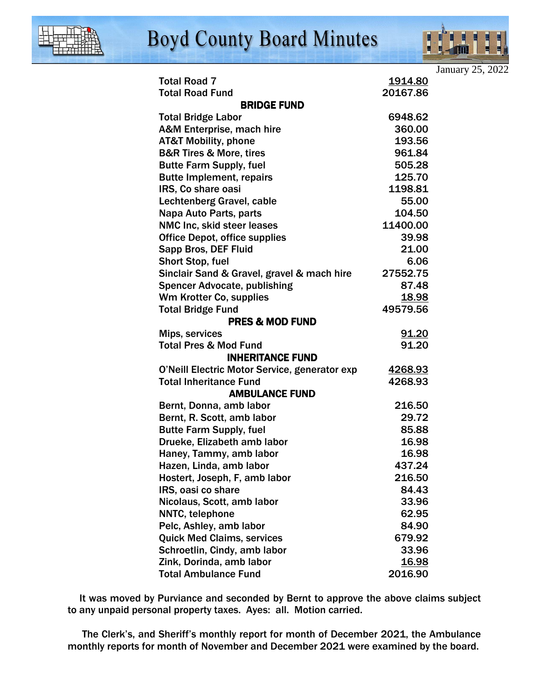

## **Boyd County Board Minutes**



|                                               |                 | January 25, 2022 |
|-----------------------------------------------|-----------------|------------------|
| <b>Total Road 7</b>                           | <u> 1914.80</u> |                  |
| <b>Total Road Fund</b>                        | 20167.86        |                  |
| <b>BRIDGE FUND</b>                            |                 |                  |
| <b>Total Bridge Labor</b>                     | 6948.62         |                  |
| A&M Enterprise, mach hire                     | 360.00          |                  |
| <b>AT&amp;T Mobility, phone</b>               | 193.56          |                  |
| <b>B&amp;R Tires &amp; More, tires</b>        | 961.84          |                  |
| <b>Butte Farm Supply, fuel</b>                | 505.28          |                  |
| <b>Butte Implement, repairs</b>               | 125.70          |                  |
| IRS, Co share oasi                            | 1198.81         |                  |
| Lechtenberg Gravel, cable                     | 55.00           |                  |
| Napa Auto Parts, parts                        | 104.50          |                  |
| NMC Inc, skid steer leases                    | 11400.00        |                  |
| <b>Office Depot, office supplies</b>          | 39.98           |                  |
| Sapp Bros, DEF Fluid                          | 21.00           |                  |
| Short Stop, fuel                              | 6.06            |                  |
| Sinclair Sand & Gravel, gravel & mach hire    | 27552.75        |                  |
| <b>Spencer Advocate, publishing</b>           | 87.48           |                  |
| Wm Krotter Co, supplies                       | <u>18.98</u>    |                  |
| <b>Total Bridge Fund</b>                      | 49579.56        |                  |
| <b>PRES &amp; MOD FUND</b>                    |                 |                  |
| Mips, services                                | 91.20           |                  |
| <b>Total Pres &amp; Mod Fund</b>              | 91.20           |                  |
| <b>INHERITANCE FUND</b>                       |                 |                  |
| O'Neill Electric Motor Service, generator exp | 4268.93         |                  |
| <b>Total Inheritance Fund</b>                 | 4268.93         |                  |
| <b>AMBULANCE FUND</b>                         |                 |                  |
| Bernt, Donna, amb labor                       | 216.50          |                  |
| Bernt, R. Scott, amb labor                    | 29.72           |                  |
| <b>Butte Farm Supply, fuel</b>                | 85.88           |                  |
| Drueke, Elizabeth amb labor                   | 16.98           |                  |
| Haney, Tammy, amb labor                       | 16.98           |                  |
| Hazen, Linda, amb labor                       | 437.24          |                  |
| Hostert, Joseph, F, amb labor                 | 216.50          |                  |
| IRS, oasi co share                            | 84.43           |                  |
| Nicolaus, Scott, amb labor                    | 33.96           |                  |
| NNTC, telephone                               | 62.95           |                  |
| Pelc, Ashley, amb labor                       | 84.90           |                  |
| <b>Quick Med Claims, services</b>             | 679.92          |                  |
| Schroetlin, Cindy, amb labor                  | 33.96           |                  |
| Zink, Dorinda, amb labor                      | <u> 16.98</u>   |                  |
| <b>Total Ambulance Fund</b>                   | 2016.90         |                  |

 It was moved by Purviance and seconded by Bernt to approve the above claims subject to any unpaid personal property taxes. Ayes: all. Motion carried.

 The Clerk's, and Sheriff's monthly report for month of December 2021, the Ambulance monthly reports for month of November and December 2021 were examined by the board.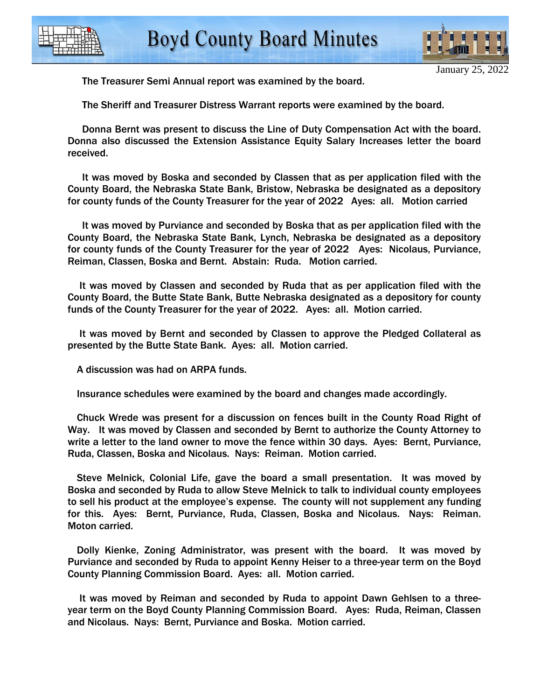

The Treasurer Semi Annual report was examined by the board.

The Sheriff and Treasurer Distress Warrant reports were examined by the board.

 Donna Bernt was present to discuss the Line of Duty Compensation Act with the board. Donna also discussed the Extension Assistance Equity Salary Increases letter the board received.

 It was moved by Boska and seconded by Classen that as per application filed with the County Board, the Nebraska State Bank, Bristow, Nebraska be designated as a depository for county funds of the County Treasurer for the year of 2022 Ayes: all. Motion carried

 It was moved by Purviance and seconded by Boska that as per application filed with the County Board, the Nebraska State Bank, Lynch, Nebraska be designated as a depository for county funds of the County Treasurer for the year of 2022 Ayes: Nicolaus, Purviance, Reiman, Classen, Boska and Bernt. Abstain: Ruda. Motion carried.

 It was moved by Classen and seconded by Ruda that as per application filed with the County Board, the Butte State Bank, Butte Nebraska designated as a depository for county funds of the County Treasurer for the year of 2022. Ayes: all. Motion carried.

 It was moved by Bernt and seconded by Classen to approve the Pledged Collateral as presented by the Butte State Bank. Ayes: all. Motion carried.

A discussion was had on ARPA funds.

Insurance schedules were examined by the board and changes made accordingly.

 Chuck Wrede was present for a discussion on fences built in the County Road Right of Way. It was moved by Classen and seconded by Bernt to authorize the County Attorney to write a letter to the land owner to move the fence within 30 days. Ayes: Bernt, Purviance, Ruda, Classen, Boska and Nicolaus. Nays: Reiman. Motion carried.

 Steve Melnick, Colonial Life, gave the board a small presentation. It was moved by Boska and seconded by Ruda to allow Steve Melnick to talk to individual county employees to sell his product at the employee's expense. The county will not supplement any funding for this. Ayes: Bernt, Purviance, Ruda, Classen, Boska and Nicolaus. Nays: Reiman. Moton carried.

 Dolly Kienke, Zoning Administrator, was present with the board. It was moved by Purviance and seconded by Ruda to appoint Kenny Heiser to a three-year term on the Boyd County Planning Commission Board. Ayes: all. Motion carried.

 It was moved by Reiman and seconded by Ruda to appoint Dawn Gehlsen to a threeyear term on the Boyd County Planning Commission Board. Ayes: Ruda, Reiman, Classen and Nicolaus. Nays: Bernt, Purviance and Boska. Motion carried.